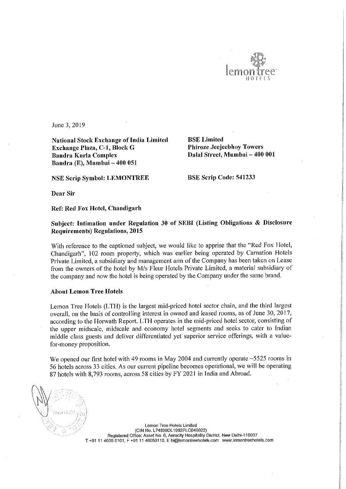

June 3, 2019

National Stock Exchange of India Limited<br>
Exchange Plaza, C-1, Block G Phiroze Jeejeebhoy Towers Exchange Plaza, C-1, Block G Bandra Kurla Complex Bandra (E), Mumbai — 400 051

Dalal Street, Mumbai - 400 001

NSE Scrip Symbol: LEMONTREE BSE Scrip Code: 541233

Dear Sir

Ref: Red Fox Hotel, Chandigarh

## Subject: Intimation under Regulation <sup>30</sup> of SEBI (Listing Obligations & Disclosure Requirements) Regulations, 2015

With reference to the captioned subject, we would like to apprise that the "Red Fox Hotel, Chandigarh", <sup>102</sup> room property, which was earlier being operated by Carnation Hotels Private Limited, a subsidiary and management arm of the Company has been taken on Lease from the owners of the hotel by M/s Fleur Hotels Private Limited, <sup>a</sup> material subsidiary of the company and now the hotel is being operated by the Company under the same brand.

## About Lemon Tree Hotels

Lemon Tree Hotels (LTH) is the largest mid-priced hotel sector chain, and the third largest overall, on the basis of controlling interest in owned and leased rooms, as of June 30, 2017, according to the Horwath Report. LTH operates in the mid-priced hotel sector, consisting of the upper midscale, midscale and economy hotel segments and seeks to cater to Indian middle class guests and deliver differentiated yet superior service offerings, with <sup>a</sup> value for-money proposition.

We opened our first hotel with 49 rooms in May 2004 and currently operate ~5525 rooms in <sup>56</sup> hotels across <sup>33</sup> cities. As our current pipeline becomes operational, we will be operating <sup>87</sup> hotels with 8,793 rooms, across <sup>58</sup> cities by FY 2021 in India and Abroad.

Lemon Tree Hotels Limited (CIN Na. L748990L1992PLCO49022) Registered Office: Asset No. 6, Aerocity Hospitality District, New Delhi-110037 T +91 <sup>11</sup> 4605 0101, <sup>F</sup> +91 <sup>11</sup> 46050110, <sup>E</sup> hi@lemonireehotels,com www,|emontreehoteis.com